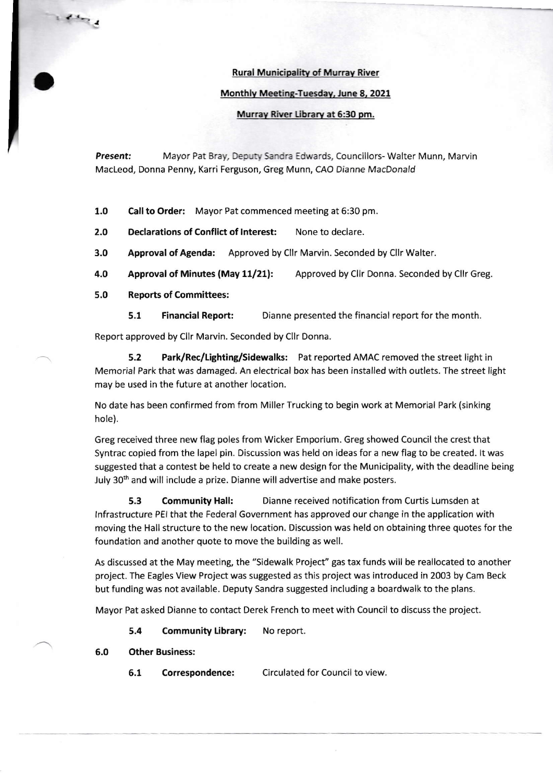## Rural Municipalitv of Murrav River

## Monthly Meeting-Tuesday, June 8, 2021

## Murray River Library at 6:30 pm.

Present: Mayor Pat Bray, Deputy Sandra Edwards, Councillors- Walter Munn, Marvin MacLeod, Donna Penny, Karri Ferguson, Greg Munn, CAO Dianne MacDonald

1.0 Call to Order: Mayor Pat commenced meeting at 6:30 pm.

2.0 Declarations of Conflict of Interest: None to declare.

3.0 Approval of Agenda: Approved by Cllr Marvin. Seconded by Cllr Walter.

4.0 Approval of Minutes (May 11/21): Approved by Cllr Donna. Seconded by Cllr Greg.

5,0 Reports of Committees:

5.1 Financial Report: Dianne presented the financial report for the month.

Report approved by Cllr Marvin. Seconded by Cllr Donna.

5.2 Park/Rec/Lighting/Sidewalks: Pat reported AMAC removed the street light in Memorial Park that was damaged. An electrical box has been installed with outlets. The street light may be used in the future at another location.

No date has been confirmed from from Miller Trucking to begin work at Memorial Park (sinking hole).

Greg received three new flag poles from Wicker Emporium. Greg showed Council the crest that Syntrac copied from the lapel pin. Discussion was held on ideas for a new flag to be created. lt was suggested that a contest be held to create a new design for the Municipality, with the deadline being July 30<sup>th</sup> and will include a prize. Dianne will advertise and make posters.

5.3 Community Hall: Dianne received notification from Curtis Lumsden at lnfrastructure PEI that the Federal Government has approved our change in the application with moving the Hall structure to the new location. Discussion was held on obtaining three quotes for the foundation and another quote to move the building as well.

As discussed at the May meeting, the "Sidewalk Project" gas tax funds will be reallocated to another project. The Eagles View Project was suggested as this project was introduced in 2003 by Cam Beck but funding was not available. Deputy Sandra suggested including a boardwalk to the plans.

Mayor Pat asked Dianne to contact Derek French to meet with Council to discuss the project.

5.4 Community Library: No report.

## 6.0 Other Business:

6.1 Correspondence: Circulated for Council to view.